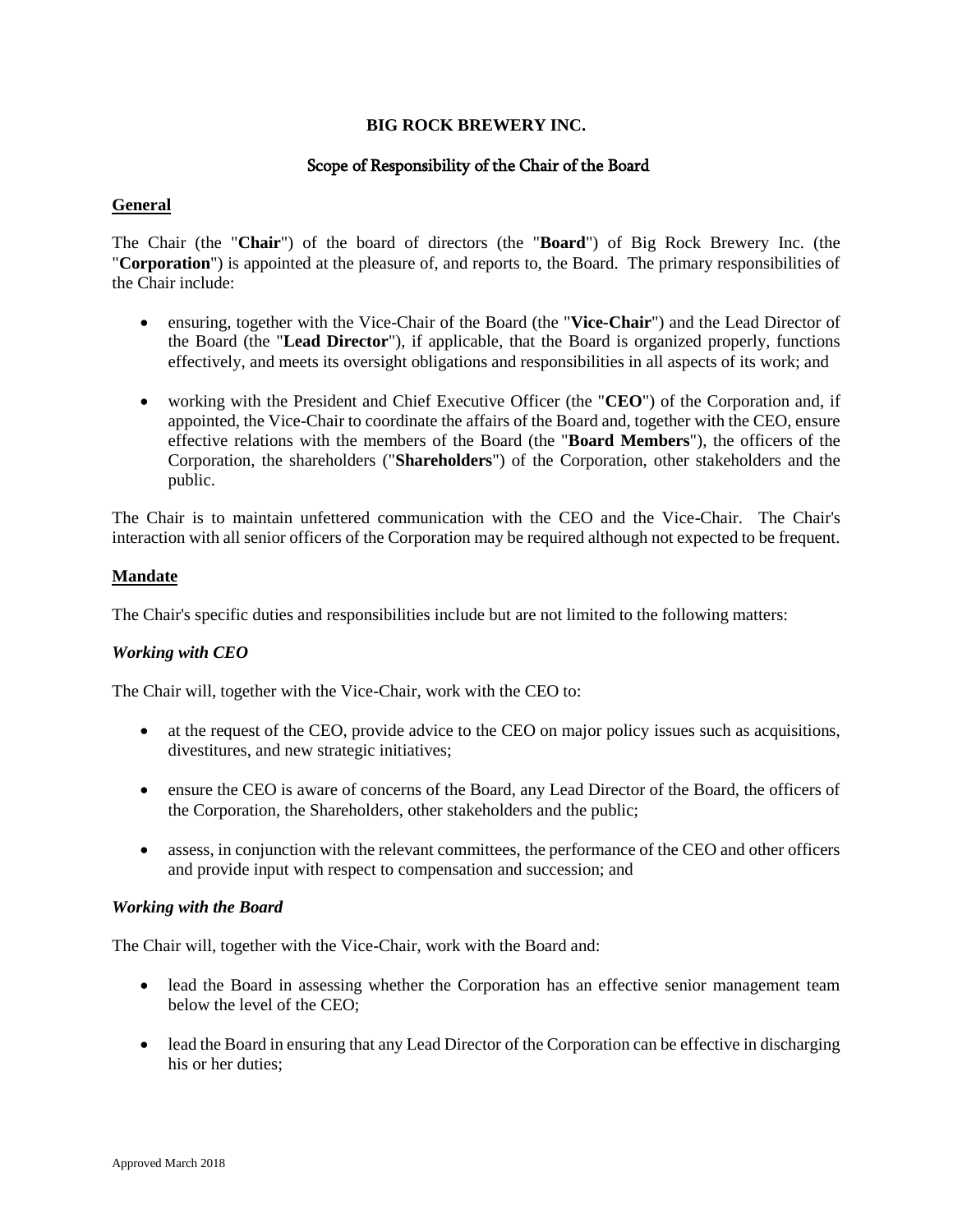## **BIG ROCK BREWERY INC.**

# Scope of Responsibility of the Chair of the Board

#### **General**

The Chair (the "**Chair**") of the board of directors (the "**Board**") of Big Rock Brewery Inc. (the "**Corporation**") is appointed at the pleasure of, and reports to, the Board. The primary responsibilities of the Chair include:

- ensuring, together with the Vice-Chair of the Board (the "**Vice-Chair**") and the Lead Director of the Board (the "**Lead Director**"), if applicable, that the Board is organized properly, functions effectively, and meets its oversight obligations and responsibilities in all aspects of its work; and
- working with the President and Chief Executive Officer (the "**CEO**") of the Corporation and, if appointed, the Vice-Chair to coordinate the affairs of the Board and, together with the CEO, ensure effective relations with the members of the Board (the "**Board Members**"), the officers of the Corporation, the shareholders ("**Shareholders**") of the Corporation, other stakeholders and the public.

The Chair is to maintain unfettered communication with the CEO and the Vice-Chair. The Chair's interaction with all senior officers of the Corporation may be required although not expected to be frequent.

#### **Mandate**

The Chair's specific duties and responsibilities include but are not limited to the following matters:

## *Working with CEO*

The Chair will, together with the Vice-Chair, work with the CEO to:

- at the request of the CEO, provide advice to the CEO on major policy issues such as acquisitions, divestitures, and new strategic initiatives;
- ensure the CEO is aware of concerns of the Board, any Lead Director of the Board, the officers of the Corporation, the Shareholders, other stakeholders and the public;
- assess, in conjunction with the relevant committees, the performance of the CEO and other officers and provide input with respect to compensation and succession; and

#### *Working with the Board*

The Chair will, together with the Vice-Chair, work with the Board and:

- lead the Board in assessing whether the Corporation has an effective senior management team below the level of the CEO;
- lead the Board in ensuring that any Lead Director of the Corporation can be effective in discharging his or her duties;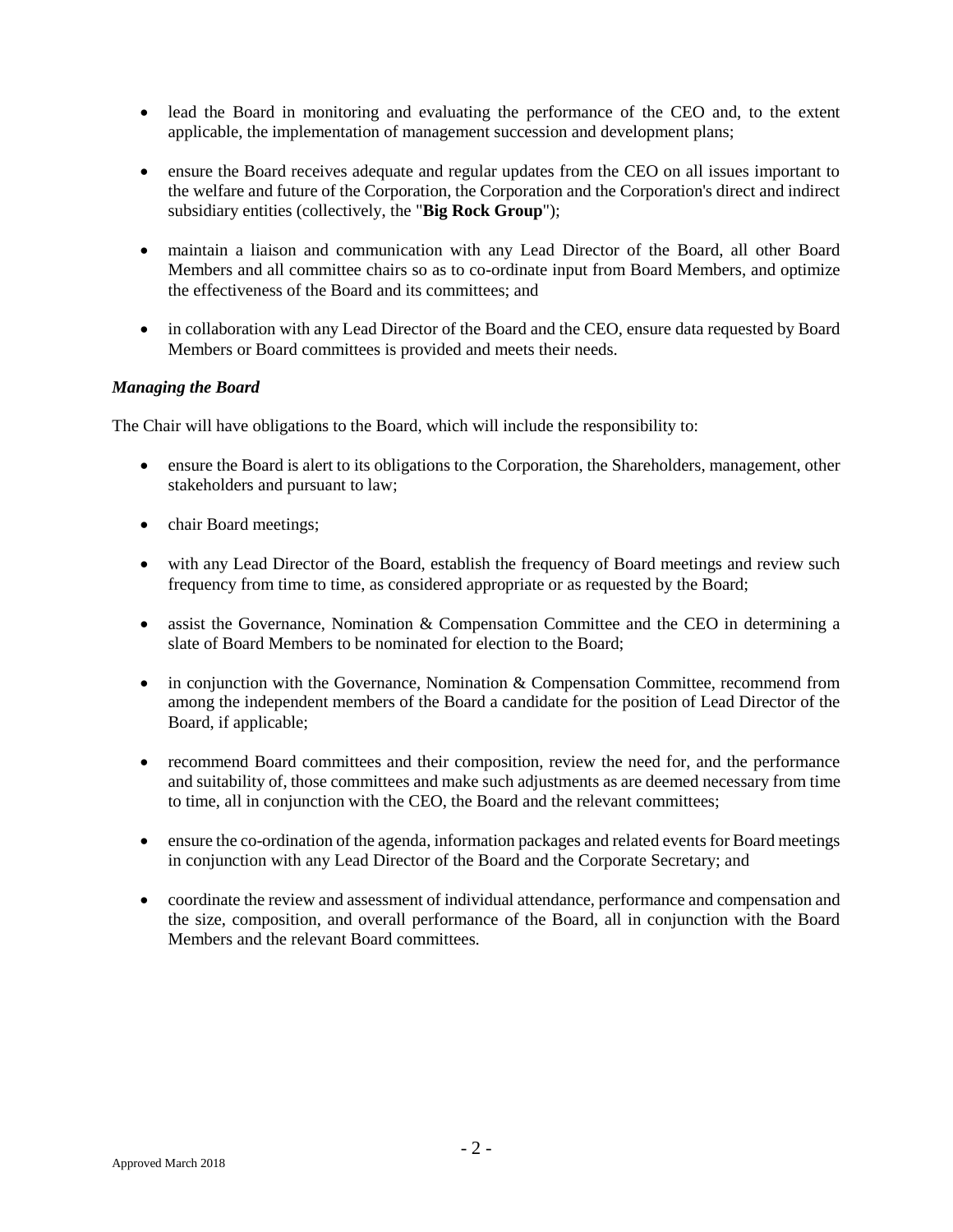- lead the Board in monitoring and evaluating the performance of the CEO and, to the extent applicable, the implementation of management succession and development plans;
- ensure the Board receives adequate and regular updates from the CEO on all issues important to the welfare and future of the Corporation, the Corporation and the Corporation's direct and indirect subsidiary entities (collectively, the "**Big Rock Group**");
- maintain a liaison and communication with any Lead Director of the Board, all other Board Members and all committee chairs so as to co-ordinate input from Board Members, and optimize the effectiveness of the Board and its committees; and
- in collaboration with any Lead Director of the Board and the CEO, ensure data requested by Board Members or Board committees is provided and meets their needs.

## *Managing the Board*

The Chair will have obligations to the Board, which will include the responsibility to:

- ensure the Board is alert to its obligations to the Corporation, the Shareholders, management, other stakeholders and pursuant to law;
- chair Board meetings;
- with any Lead Director of the Board, establish the frequency of Board meetings and review such frequency from time to time, as considered appropriate or as requested by the Board;
- assist the Governance, Nomination & Compensation Committee and the CEO in determining a slate of Board Members to be nominated for election to the Board;
- in conjunction with the Governance, Nomination & Compensation Committee, recommend from among the independent members of the Board a candidate for the position of Lead Director of the Board, if applicable;
- recommend Board committees and their composition, review the need for, and the performance and suitability of, those committees and make such adjustments as are deemed necessary from time to time, all in conjunction with the CEO, the Board and the relevant committees;
- ensure the co-ordination of the agenda, information packages and related events for Board meetings in conjunction with any Lead Director of the Board and the Corporate Secretary; and
- coordinate the review and assessment of individual attendance, performance and compensation and the size, composition, and overall performance of the Board, all in conjunction with the Board Members and the relevant Board committees.